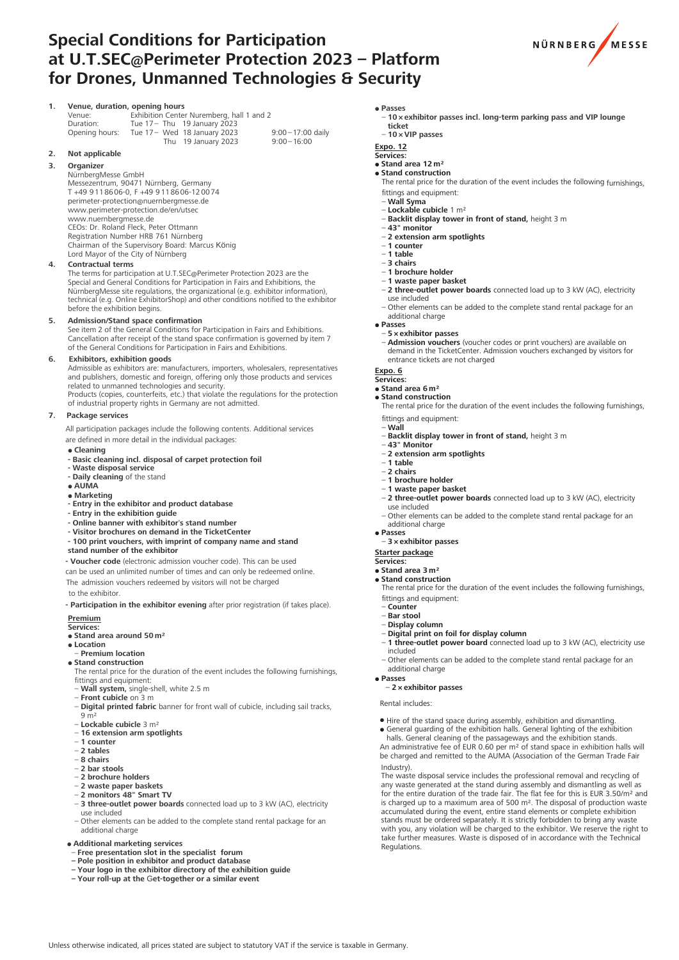# **Special Conditions for Participation at U.T.SEC@Perimeter Protection 2023 – Platform for Drones, Unmanned Technologies & Security**



### **1. Venue, duration, opening hours**<br>Venue: **Exhibition Center** Venue: Exhibition Center Nuremberg, hall 1 and 2<br>Duration: Tue 17 – Thu 19 January 2023 Duration: Tue 17 – Thu 19 January 2023<br>Opening hours: Tue 17 – Wed 18 January 2023 Tue  $17 -$  Wed  $18$  January  $2023$  9:00 – 17:00 daily<br>Thu  $19$  January  $2023$  9:00 – 16:00 Thu  $19$  January 2023

### **2. Not applicable**

### **3. Organizer**

NürnbergMesse GmbH Messezentrum, 90471 Nürnberg, Germany T +49 9 11 86 06-0, F +49 9 11 86 06-12 00 74 perimeter-protection@nuernbergmesse.de www.perimeter-protection.de/en/utsec www.nuernbergmesse.de CEOs: Dr. Roland Fleck, Peter Ottmann Registration Number HRB 761 Nürnberg Chairman of the Supervisory Board: Marcus König Lord Mayor of the City of Nürnberg

### **4. Contractual terms**

The terms for participation at U.T.SEC@Perimeter Protection 2023 are the<br>Special and General Conditions for Participation in Fairs and Exhibitions, the NürnbergMesse site regulations, the organizational (e.g. exhibitor information), technical (e.g. Online ExhibitorShop) and other conditions notified to the exhibitor before the exhibition begins.

### **5. Admission/Stand space confirmation**

See item 2 of the General Conditions for Participation in Fairs and Exhibitions. Cancellation after receipt of the stand space confirmation is governed by item 7 of the General Conditions for Participation in Fairs and Exhibitions.

### **6. Exhibitors, exhibition goods**

Admissible as exhibitors are: manufacturers, importers, wholesalers, representatives and publishers, domestic and foreign, offering only those products and services related to unmanned technologies and security. Products (copies, counterfeits, etc.) that violate the regulations for the protection

of industrial property rights in Germany are not admitted.

### **7. Package services**

All participation packages include the following contents. Additional services are defined in more detail in the individual packages

- **Cleaning**
- **- Basic cleaning incl. disposal of carpet protection foil**
- **- Waste disposal service**
- **- Daily cleaning** of the stand
- **AUMA Marketing**
- **- Entry in the exhibitor and product database**
- **- Entry in the exhibition guide**
- **- Online banner with exhibitor**'**s stand number**
- **- Visitor brochures on demand in the TicketCenter**
- **- 100 print vouchers, with imprint of company name and stand stand number of the exhibitor**

**- Voucher code** (electronic admission voucher code). This can be used

can be used an unlimited number of times and can only be redeemed online.

The admission vouchers redeemed by visitors will not be charged to the exhibitor.

**- Participation in the exhibitor evening** after prior registration (if takes place). **Premium**

### **Services:**

**• Stand area around 50 m<sup>2</sup>** 

- **Location**
- – **Premium location**

 $\bullet$  **Stand construction** The rental price for the duration of the event includes the following furnishings,

- fittings and equipment: – **Wall system,** single-shell, white 2.5 m
- **Front cubicle** on 3 m
- **Digital printed fabric** banner for front wall of cubicle, including sail tracks,  $9 \text{ m}^2$
- – **Lockable cubicle** 3 m²
- – **16 extension arm spotlights**
- – **1 counter**
- – **2 tables** – **8 chairs**
- – **2 bar stools**
- – **2 brochure holders**
- 
- – **2 waste paper baskets** – **2 monitors 48" Smart TV**
- 3 three-outlet power boards connected load up to 3 kW (AC), electricity use included
- Other elements can be added to the complete stand rental package for an additional charge

Unless otherwise indicated, all prices stated are subject to statutory VAT if the service is taxable in Germany.

### **Additional marketing services**

- – **Free presentation slot in the specialist forum**
- Pole position in exhibitor and product database<br>– Your logo in the exhibitor directory of the exhibition guide
- 
- **– Your roll-up at the** G**et-together or a similar event**
- · Passes
- 10 x exhibitor passes incl. long-term parking pass and VIP lounge ticket  $-10 \times$  VIP passes
- **Expo. 12**

### Services:

- $\bullet$  Stand area 12 m<sup>2</sup>
- Stand construction
- The rental price for the duration of the event includes the following furnishings, fittings and equipment: j
- Wall Syma
- $-$  Lockable cubicle 1 m<sup>2</sup>
- Backlit display tower in front of stand, height 3 m  $-43$ " monitor
- -2 extension arm spotlights
- $-1$  counter
- $-1$  table
- $-3$  chairs
- 1 brochure holder
- 1 waste paper basket
- 2 three-outlet power boards connected load up to 3 kW (AC), electricity use included
- Other elements can be added to the complete stand rental package for an additional charge · Passes
- 5 x exhibitor passes
	- Admission vouchers (voucher codes or print vouchers) are available on demand in the TicketCenter. Admission vouchers exchanged by visitors for entrance tickets are not charged

### Expo. 6

### Services:

- $\bullet$  Stand area 6 m<sup>2</sup> • Stand construction
- The rental price for the duration of the event includes the following furnishings, fittings and equipment:
- j  $-W\leqslant 1$
- Backlit display tower in front of stand, height 3 m
- 43" Monitor
- -2 extension arm spotlights
- $-1$  table
- $-2$  chairs
- 1 brochure holder
- 1 waste paper basket - 2 three-outlet power boards connected load up to 3 kW (AC), electricity use included
- Other elements can be added to the complete stand rental package for an additional charge
- · Passes  $-3x$  exhibitor passes

**Starter package** Services:

• Stand area 3 mi

- Stand construction
	- The rental price for the duration of the event includes the following furnishings, fittings and equipment:
	- – **Counter**
	- – **Bar stool**
	- – **Display column**
	- – **Digital print on foil for display column**
- 1 three-outlet power board connected load up to 3 kW (AC), electricity use included – Other elements can be added to the complete stand rental package for an
- additional charge **Passes**

### – **2 × exhibitor passes**

Rental includes:

Industry).

Regulations.

 Hire of the stand space during assembly, exhibition and dismantling. General guarding of the exhibition halls. General lighting of the exhibition

halls. General cleaning of the passageways and the exhibition stands. An administrative fee of EUR 0.60 per m² of stand space in exhibition halls will be charged and remitted to the AUMA (Association of the German Trade Fair

The waste disposal service includes the professional removal and recycling of any waste generated at the stand during assembly and dismantling as well as for the entire duration of the trade fair. The flat fee for this is is charged up to a maximum area of 500 m². The disposal of production waste accumulated during the event, entire stand elements or complete exhibition stands must be ordered separately. It is strictly forbidden to bring any waste with you, any violation will be charged to the exhibitor. We reserve the right to take further measures. Waste is disposed of in accordance with the Technical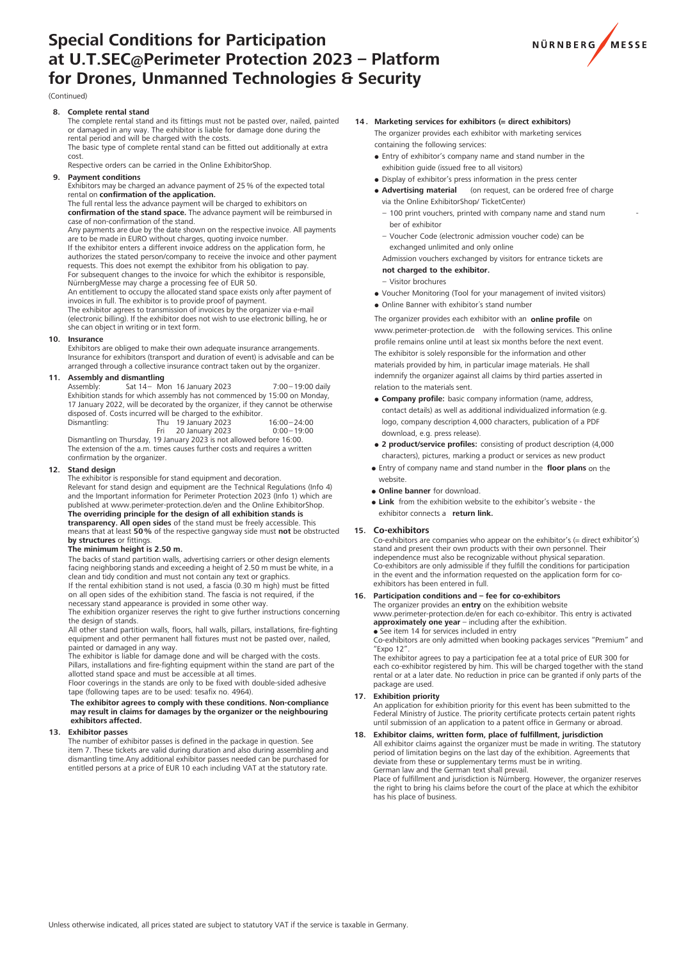# **Special Conditions for Participation at U.T.SEC@Perimeter Protection 2023 – Platform for Drones, Unmanned Technologies & Security**



### (Continued)

## **8. Complete rental stand**

The complete rental stand and its fittings must not be pasted over, nailed, painted or damaged in any way. The exhibitor is liable for damage done during the<br>rental period and will be charged with the costs.

The basic type of complete rental stand can be fitted out additionally at extra cost.

Respective orders can be carried in the Online ExhibitorShop

**9.** Payment conditions

Exhibitors may be charged an advance payment of 25 % of the expected total rental on **confirmation** of the application.

The full rental less the advance payment will be charged to exhibitors on **confirmation of the stand space.** The advance payment will be reimbursed in case of non-confirmation of the stand.

Any payments are due by the date shown on the respective invoice. All payments

are to be made in EURO without charges, quoting invoice number.<br>If the exhibitor enters a different invoice address on the application form, he authorizes the stated person/company to receive the invoice and other payment<br>requests. This does not exempt the exhibitor from his obligation to pay. For subsequent changes to the invoice for which the exhibitor is responsible,

NürnbergMesse may charge a processing fee of EUR 50.<br>An entitlement to occupy the allocated stand space exists only after payment of<br>invoices in full. The exhibitor is to provide proof of payment. The exhibitor agrees to transmission of invoices by the organizer via e-mail

(electronic billing). If the exhibitor does not wish to use electronic billing, he or she can object in writing or in text form.

### **10. Insurance**

Exhibitors are obliged to make their own adequate insurance arrangements. Insurance for exhibitors (transport and duration of event) is advisable and can be arranged through a collective insurance contract taken out by the organizer.

# **11. Assembly and dismantling**<br>Assembly: Sat 14-Mo

Sat 14 - Mon 16 January 2023 7:00 - 19:00 daily Exhibition stands for which assembly has not commenced by 15:00 on Monday, 17 January 2022, will be decorated by the organizer, if they cannot be otherwise disposed of. Costs incurred will be charged to the exhibitor. Dismantling: Thu 19 January 2023 16:00 – 24:00

| Dismantling:                                                                            | Thu 19 January 2023 | $16:00 - 24:00$ |
|-----------------------------------------------------------------------------------------|---------------------|-----------------|
|                                                                                         | 20 January 2023     | $0:00 - 19:00$  |
| Dismantling on Thursday, 19 January 2023 is not allowed before 16:00.                   |                     |                 |
| The expension of the class theory correct from less contract and population of contract |                     |                 |

The extension of the a.m. times causes further costs and requires a written confirmation by the organizer.

#### **12. 12. 12. 12. 12. 12. 12. 12. 12. 12. 12. 12. 12. 12. 12. 12. 12. 12. 12. 12. 12. 12. 12. 12. 12. 12. 12. 12. 12. 12. 12. 12. 12. 12. 12. 12. 12.**

The exhibitor is responsible for stand equipment and decoration Relevant for stand design and equipment are the Technical Regulations (Info 4) and the Important information for Perimeter Protection 2023 (Info 1) which are published at www.perimeter-protection.de/en and the Online ExhibitorShop. The overriding principle for the design of all exhibition stands is

**transparency. All open sides** of the stand must be freely accessible. This<br>means that at least **50** % of the respective gangway side must **not** be obstructed **by structures** or fittings.

### The minimum height is 2.50 m.

The backs of stand partition walls, advertising carriers or other design elements facing neighboring stands and exceeding a height of 2.50 m must be white, in a clean and tidy condition and must not contain any text or graphics.<br>If the rental exhibition stand is not used, a fascia (0.30 m high) must be fitted

on all open sides of the exhibition stand. The fascia is not required, if the necessary stand appearance is provided in some other way.<br>The exhibition organizer reserves the right to give further instructions concerning

the design of stands. All other stand partition walls, floors, hall walls, pillars, installations, fire-fighting equipment and other permanent hall fixtures must not be pasted over, nailed,

painted or damaged in any way. The exhibitor is liable for damage done and will be charged with the costs.

Pillars, installations and fire-fighting equipment within the stand are part of the allotted stand space and must be accessible at all times.

Floor coverings in the stands are only to be fixed with double-sided adhesive tape (following tapes are to be used: tesafix no. 4964).

# **The exhibitor agrees to comply with these conditions. Non-compliance may result in claims for damages by the organizer or the neighbouring exhibitors affected.**

#### **13. Exhibitor passes**

The number of exhibitor passes is defined in the package in question. See item 7. These tickets are valid during duration and also during assembling and dismantling time.Any additional exhibitor passes needed can be purchased for entitled persons at a price of EUR 10 each including VAT at the statutory rate.

- **14 . Marketing services for exhibitors (= direct exhibitors)** The organizer provides each exhibitor with marketing services containing the following services:
	- Entry of exhibitor's company name and stand number in the exhibition quide (issued free to all visitors)
	- Display of exhibitor's press information in the press center
	- **Advertising material** (on request, can be ordered free of charge via the Online ExhibitorShop/ TicketCenter)
		- $-$  100 print vouchers, printed with company name and stand num ber of exhibitor
		- Voucher Code (electronic admission voucher code) can be exchanged unlimited and only online

 Admission vouchers exchanged by visitors for entrance tickets are **not charged to the exhibitor.**

- Visitor brochures
- Voucher Monitoring (Tool for your management of invited visitors)
- Online Banner with exhibitor´s stand number

 The organizer provides each exhibitor with an **online profile** on www.perimeter-protection.de with the following services. This online profile remains online until at least six months before the next event. The exhibitor is solely responsible for the information and other materials provided by him, in particular image materials. He shall indemnify the organizer against all claims by third parties asserted in relation to the materials sent.

- **Company profile:** basic company information (name, address, contact details) as well as additional individualized information (e.g. logo, company description 4,000 characters, publication of a PDF download, e.g. press release).
- **2 product/service profiles:** consisting of product description (4,000 characters), pictures, marking a product or services as new product
- Entry of company name and stand number in the **floor plans** on the website.
- **Online banner** for download.
- **Link** from the exhibition website to the exhibitor's website the exhibitor connects a **return link.**

### **15. Co-exhibitors**

Co-exhibitors are companies who appear on the exhibitor's (= direct exhibitor's) stand and present their own products with their own personnel. Their independence must also be recognizable without physical separation. Co-exhibitors are only admissible if they fulfill the conditions for participation in the event and the information requested on the application form for coexhibitors has been entered in full.

### **16. Participation conditions and – fee for co-exhibitors**

The organizer provides an **entry** on the exhibition website www.perimeter-protection.de/en for each co-exhibitor. This entry is activated **approximately one year** – including after the exhibition.<br>• See item 14 for services included in entry

Co-exhibitors are only admitted when booking packages services "Premium" and "Expo 12".

The exhibitor agrees to pay a participation fee at a total price of EUR 300 for each co-exhibitor registered by him. This will be charged together with the stand rental or at a later date. No reduction in price can be granted if only parts of the package are used.

### **17. Exhibition priority**

An application for exhibition priority for this event has been submitted to the Federal Ministry of Justice. The priority certificate protects certain patent rights until submission of an application to a patent office in Germany or abroad.

### **18. Exhibitor claims, written form, place of fulfillment, jurisdiction**

All exhibitor claims against the organizer must be made in writing. The statutory period of limitation begins on the last day of the exhibition. Agreements that deviate from these or supplementary terms must be in writing. German law and the German text shall prevail.

Place of fulfillment and jurisdiction is Nürnberg. However, the organizer reserves the right to bring his claims before the court of the place at which the exhibitor has his place of business.